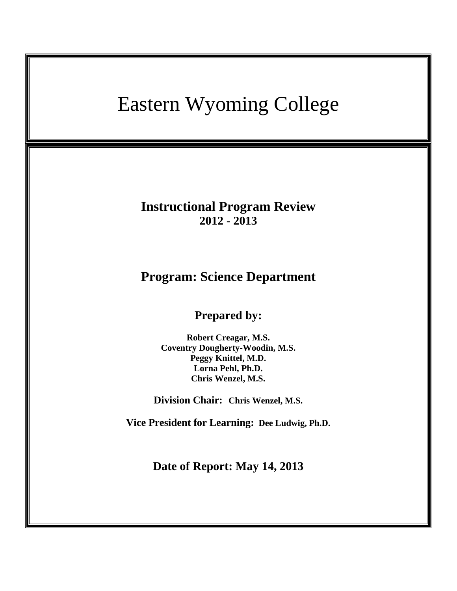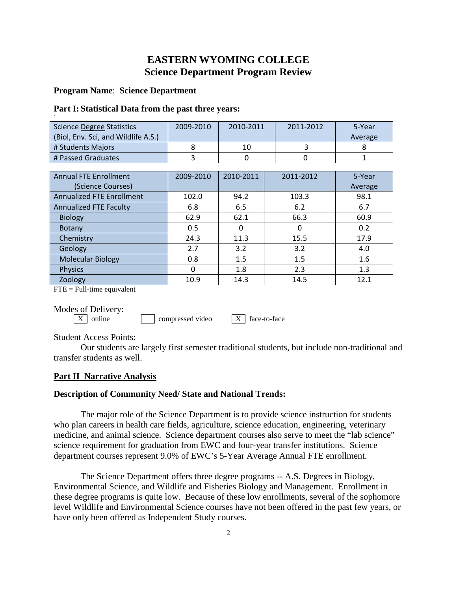# **EASTERN WYOMING COLLEGE Science Department Program Review**

# **Program Name**: **Science Department**

## **Part I: Statistical Data from the past three years:**

| <b>Science Degree Statistics</b><br>(Biol, Env. Sci, and Wildlife A.S.) | 2009-2010 | 2010-2011 | 2011-2012 | 5-Year<br>Average |
|-------------------------------------------------------------------------|-----------|-----------|-----------|-------------------|
| # Students Majors                                                       | 8         | 10        | 3         | 8                 |
| # Passed Graduates                                                      | 3         | 0         | 0         | 1                 |
|                                                                         |           |           |           |                   |
| <b>Annual FTE Enrollment</b>                                            | 2009-2010 | 2010-2011 | 2011-2012 | 5-Year            |
| (Science Courses)                                                       |           |           |           | Average           |
| <b>Annualized FTE Enrollment</b>                                        | 102.0     | 94.2      | 103.3     | 98.1              |
| <b>Annualized FTE Faculty</b>                                           | 6.8       | 6.5       | 6.2       | 6.7               |
| <b>Biology</b>                                                          | 62.9      | 62.1      | 66.3      | 60.9              |
| Botany                                                                  | 0.5       | 0         | 0         | 0.2               |
| Chemistry                                                               | 24.3      | 11.3      | 15.5      | 17.9              |
| Geology                                                                 | 2.7       | 3.2       | 3.2       | 4.0               |
| <b>Molecular Biology</b>                                                | 0.8       | 1.5       | 1.5       | 1.6               |
| <b>Physics</b>                                                          | 0         | 1.8       | 2.3       | 1.3               |
| Zoology                                                                 | 10.9      | 14.3      | 14.5      | 12.1              |

 $FTE = Full-time equivalent$ 

Modes of Delivery:<br> $\boxed{\text{X}}$  online

 $compressed video$   $\boxed{X}$  face-to-face

Student Access Points:

Our students are largely first semester traditional students, but include non-traditional and transfer students as well.

# **Part II Narrative Analysis**

# **Description of Community Need/ State and National Trends:**

The major role of the Science Department is to provide science instruction for students who plan careers in health care fields, agriculture, science education, engineering, veterinary medicine, and animal science. Science department courses also serve to meet the "lab science" science requirement for graduation from EWC and four-year transfer institutions. Science department courses represent 9.0% of EWC's 5-Year Average Annual FTE enrollment.

The Science Department offers three degree programs -- A.S. Degrees in Biology, Environmental Science, and Wildlife and Fisheries Biology and Management. Enrollment in these degree programs is quite low. Because of these low enrollments, several of the sophomore level Wildlife and Environmental Science courses have not been offered in the past few years, or have only been offered as Independent Study courses.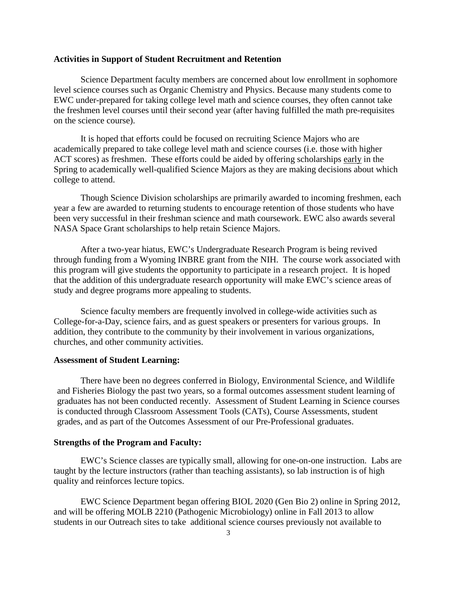#### **Activities in Support of Student Recruitment and Retention**

Science Department faculty members are concerned about low enrollment in sophomore level science courses such as Organic Chemistry and Physics. Because many students come to EWC under-prepared for taking college level math and science courses, they often cannot take the freshmen level courses until their second year (after having fulfilled the math pre-requisites on the science course).

It is hoped that efforts could be focused on recruiting Science Majors who are academically prepared to take college level math and science courses (i.e. those with higher ACT scores) as freshmen. These efforts could be aided by offering scholarships early in the Spring to academically well-qualified Science Majors as they are making decisions about which college to attend.

Though Science Division scholarships are primarily awarded to incoming freshmen, each year a few are awarded to returning students to encourage retention of those students who have been very successful in their freshman science and math coursework. EWC also awards several NASA Space Grant scholarships to help retain Science Majors.

After a two-year hiatus, EWC's Undergraduate Research Program is being revived through funding from a Wyoming INBRE grant from the NIH. The course work associated with this program will give students the opportunity to participate in a research project. It is hoped that the addition of this undergraduate research opportunity will make EWC's science areas of study and degree programs more appealing to students.

Science faculty members are frequently involved in college-wide activities such as College-for-a-Day, science fairs, and as guest speakers or presenters for various groups. In addition, they contribute to the community by their involvement in various organizations, churches, and other community activities.

#### **Assessment of Student Learning:**

There have been no degrees conferred in Biology, Environmental Science, and Wildlife and Fisheries Biology the past two years, so a formal outcomes assessment student learning of graduates has not been conducted recently. Assessment of Student Learning in Science courses is conducted through Classroom Assessment Tools (CATs), Course Assessments, student grades, and as part of the Outcomes Assessment of our Pre-Professional graduates.

# **Strengths of the Program and Faculty:**

EWC's Science classes are typically small, allowing for one-on-one instruction. Labs are taught by the lecture instructors (rather than teaching assistants), so lab instruction is of high quality and reinforces lecture topics.

EWC Science Department began offering BIOL 2020 (Gen Bio 2) online in Spring 2012, and will be offering MOLB 2210 (Pathogenic Microbiology) online in Fall 2013 to allow students in our Outreach sites to take additional science courses previously not available to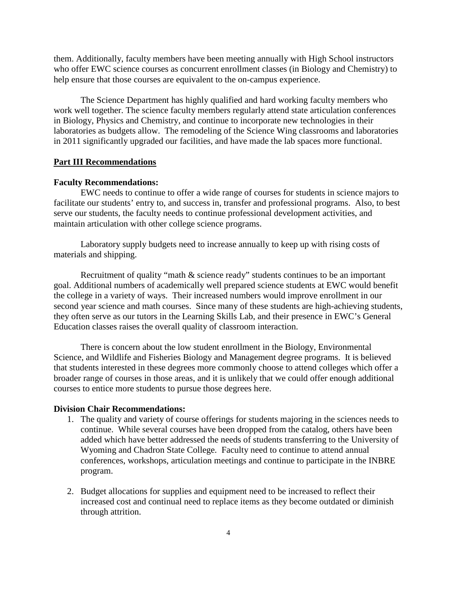them. Additionally, faculty members have been meeting annually with High School instructors who offer EWC science courses as concurrent enrollment classes (in Biology and Chemistry) to help ensure that those courses are equivalent to the on-campus experience.

The Science Department has highly qualified and hard working faculty members who work well together. The science faculty members regularly attend state articulation conferences in Biology, Physics and Chemistry, and continue to incorporate new technologies in their laboratories as budgets allow. The remodeling of the Science Wing classrooms and laboratories in 2011 significantly upgraded our facilities, and have made the lab spaces more functional.

### **Part III Recommendations**

#### **Faculty Recommendations:**

EWC needs to continue to offer a wide range of courses for students in science majors to facilitate our students' entry to, and success in, transfer and professional programs. Also, to best serve our students, the faculty needs to continue professional development activities, and maintain articulation with other college science programs.

Laboratory supply budgets need to increase annually to keep up with rising costs of materials and shipping.

Recruitment of quality "math & science ready" students continues to be an important goal. Additional numbers of academically well prepared science students at EWC would benefit the college in a variety of ways. Their increased numbers would improve enrollment in our second year science and math courses. Since many of these students are high-achieving students, they often serve as our tutors in the Learning Skills Lab, and their presence in EWC's General Education classes raises the overall quality of classroom interaction.

There is concern about the low student enrollment in the Biology, Environmental Science, and Wildlife and Fisheries Biology and Management degree programs. It is believed that students interested in these degrees more commonly choose to attend colleges which offer a broader range of courses in those areas, and it is unlikely that we could offer enough additional courses to entice more students to pursue those degrees here.

## **Division Chair Recommendations:**

- 1. The quality and variety of course offerings for students majoring in the sciences needs to continue. While several courses have been dropped from the catalog, others have been added which have better addressed the needs of students transferring to the University of Wyoming and Chadron State College. Faculty need to continue to attend annual conferences, workshops, articulation meetings and continue to participate in the INBRE program.
- 2. Budget allocations for supplies and equipment need to be increased to reflect their increased cost and continual need to replace items as they become outdated or diminish through attrition.